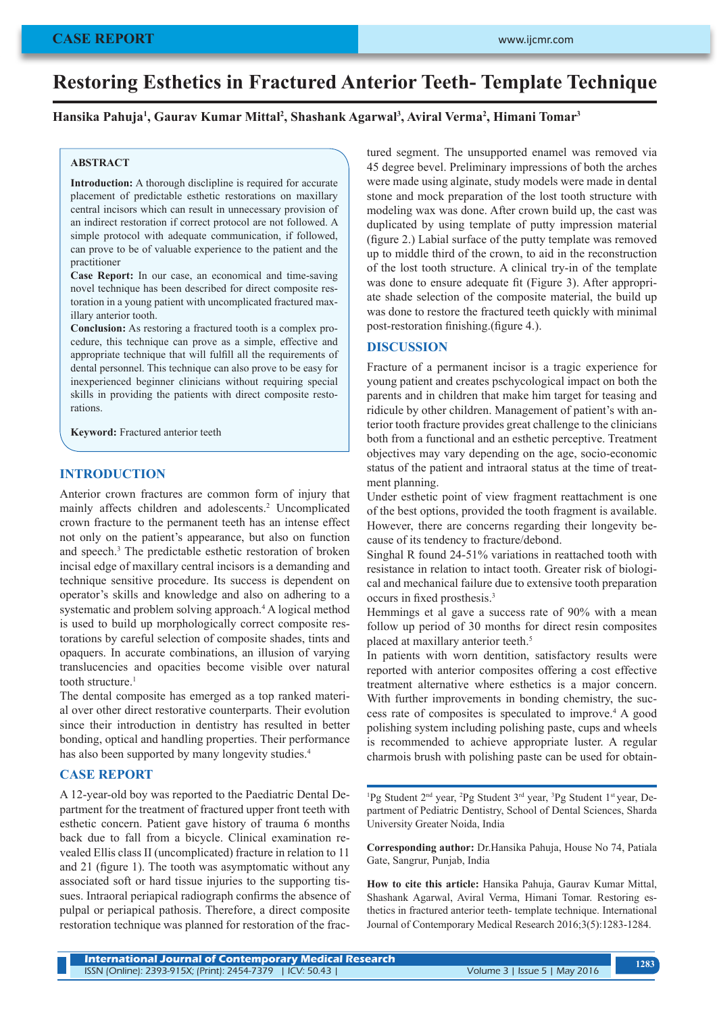# **Restoring Esthetics in Fractured Anterior Teeth- Template Technique**

#### **Hansika Pahuja1 , Gaurav Kumar Mittal2 , Shashank Agarwal3 , Aviral Verma2 , Himani Tomar3**

#### **ABSTRACT**

**Introduction:** A thorough disclipline is required for accurate placement of predictable esthetic restorations on maxillary central incisors which can result in unnecessary provision of an indirect restoration if correct protocol are not followed. A simple protocol with adequate communication, if followed, can prove to be of valuable experience to the patient and the practitioner

**Case Report:** In our case, an economical and time-saving novel technique has been described for direct composite restoration in a young patient with uncomplicated fractured maxillary anterior tooth.

**Conclusion:** As restoring a fractured tooth is a complex procedure, this technique can prove as a simple, effective and appropriate technique that will fulfill all the requirements of dental personnel. This technique can also prove to be easy for inexperienced beginner clinicians without requiring special skills in providing the patients with direct composite restorations.

**Keyword:** Fractured anterior teeth

#### **INTRODUCTION**

Anterior crown fractures are common form of injury that mainly affects children and adolescents.<sup>2</sup> Uncomplicated crown fracture to the permanent teeth has an intense effect not only on the patient's appearance, but also on function and speech.<sup>3</sup> The predictable esthetic restoration of broken incisal edge of maxillary central incisors is a demanding and technique sensitive procedure. Its success is dependent on operator's skills and knowledge and also on adhering to a systematic and problem solving approach.<sup>4</sup> A logical method is used to build up morphologically correct composite restorations by careful selection of composite shades, tints and opaquers. In accurate combinations, an illusion of varying translucencies and opacities become visible over natural tooth structure.<sup>1</sup>

The dental composite has emerged as a top ranked material over other direct restorative counterparts. Their evolution since their introduction in dentistry has resulted in better bonding, optical and handling properties. Their performance has also been supported by many longevity studies.<sup>4</sup>

### **CASE REPORT**

A 12-year-old boy was reported to the Paediatric Dental Department for the treatment of fractured upper front teeth with esthetic concern. Patient gave history of trauma 6 months back due to fall from a bicycle. Clinical examination revealed Ellis class II (uncomplicated) fracture in relation to 11 and 21 (figure 1). The tooth was asymptomatic without any associated soft or hard tissue injuries to the supporting tissues. Intraoral periapical radiograph confirms the absence of pulpal or periapical pathosis. Therefore, a direct composite restoration technique was planned for restoration of the fractured segment. The unsupported enamel was removed via 45 degree bevel. Preliminary impressions of both the arches were made using alginate, study models were made in dental stone and mock preparation of the lost tooth structure with modeling wax was done. After crown build up, the cast was duplicated by using template of putty impression material (figure 2.) Labial surface of the putty template was removed up to middle third of the crown, to aid in the reconstruction of the lost tooth structure. A clinical try-in of the template was done to ensure adequate fit (Figure 3). After appropriate shade selection of the composite material, the build up was done to restore the fractured teeth quickly with minimal post-restoration finishing.(figure 4.).

#### **DISCUSSION**

Fracture of a permanent incisor is a tragic experience for young patient and creates pschycological impact on both the parents and in children that make him target for teasing and ridicule by other children. Management of patient's with anterior tooth fracture provides great challenge to the clinicians both from a functional and an esthetic perceptive. Treatment objectives may vary depending on the age, socio-economic status of the patient and intraoral status at the time of treatment planning.

Under esthetic point of view fragment reattachment is one of the best options, provided the tooth fragment is available. However, there are concerns regarding their longevity because of its tendency to fracture/debond.

Singhal R found 24-51% variations in reattached tooth with resistance in relation to intact tooth. Greater risk of biological and mechanical failure due to extensive tooth preparation occurs in fixed prosthesis.<sup>3</sup>

Hemmings et al gave a success rate of 90% with a mean follow up period of 30 months for direct resin composites placed at maxillary anterior teeth.<sup>5</sup>

In patients with worn dentition, satisfactory results were reported with anterior composites offering a cost effective treatment alternative where esthetics is a major concern. With further improvements in bonding chemistry, the success rate of composites is speculated to improve.4 A good polishing system including polishing paste, cups and wheels is recommended to achieve appropriate luster. A regular charmois brush with polishing paste can be used for obtain-

<sup>1</sup>Pg Student 2<sup>nd</sup> year, <sup>2</sup>Pg Student 3<sup>rd</sup> year, <sup>3</sup>Pg Student 1<sup>st</sup> year, Department of Pediatric Dentistry, School of Dental Sciences, Sharda University Greater Noida, India

**Corresponding author:** Dr.Hansika Pahuja, House No 74, Patiala Gate, Sangrur, Punjab, India

**How to cite this article:** Hansika Pahuja, Gaurav Kumar Mittal, Shashank Agarwal, Aviral Verma, Himani Tomar. Restoring esthetics in fractured anterior teeth- template technique. International Journal of Contemporary Medical Research 2016;3(5):1283-1284.